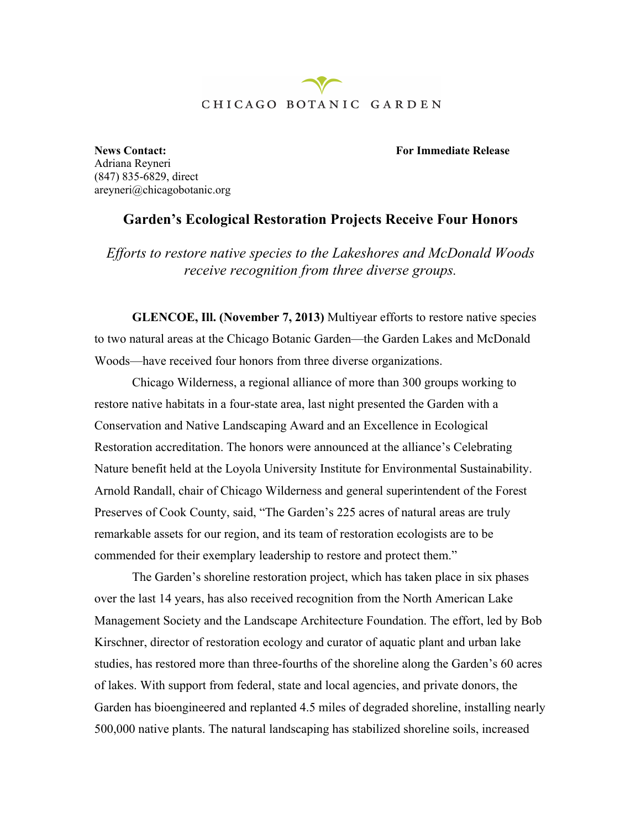## CHICAGO BOTANIC GARDEN

**News Contact: For Immediate Release**

Adriana Reyneri (847) 835-6829, direct areyneri@chicagobotanic.org

## **Garden's Ecological Restoration Projects Receive Four Honors**

*Efforts to restore native species to the Lakeshores and McDonald Woods receive recognition from three diverse groups.*

**GLENCOE, Ill. (November 7, 2013)** Multiyear efforts to restore native species to two natural areas at the Chicago Botanic Garden—the Garden Lakes and McDonald Woods—have received four honors from three diverse organizations.

Chicago Wilderness, a regional alliance of more than 300 groups working to restore native habitats in a four-state area, last night presented the Garden with a Conservation and Native Landscaping Award and an Excellence in Ecological Restoration accreditation. The honors were announced at the alliance's Celebrating Nature benefit held at the Loyola University Institute for Environmental Sustainability. Arnold Randall, chair of Chicago Wilderness and general superintendent of the Forest Preserves of Cook County, said, "The Garden's 225 acres of natural areas are truly remarkable assets for our region, and its team of restoration ecologists are to be commended for their exemplary leadership to restore and protect them."

The Garden's shoreline restoration project, which has taken place in six phases over the last 14 years, has also received recognition from the North American Lake Management Society and the Landscape Architecture Foundation. The effort, led by Bob Kirschner, director of restoration ecology and curator of aquatic plant and urban lake studies, has restored more than three-fourths of the shoreline along the Garden's 60 acres of lakes. With support from federal, state and local agencies, and private donors, the Garden has bioengineered and replanted 4.5 miles of degraded shoreline, installing nearly 500,000 native plants. The natural landscaping has stabilized shoreline soils, increased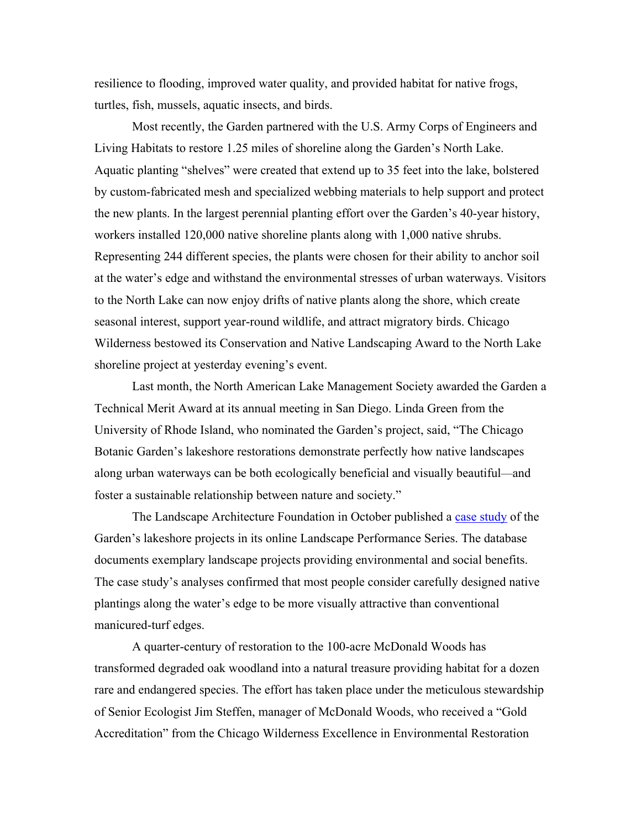resilience to flooding, improved water quality, and provided habitat for native frogs, turtles, fish, mussels, aquatic insects, and birds.

Most recently, the Garden partnered with the U.S. Army Corps of Engineers and Living Habitats to restore 1.25 miles of shoreline along the Garden's North Lake. Aquatic planting "shelves" were created that extend up to 35 feet into the lake, bolstered by custom-fabricated mesh and specialized webbing materials to help support and protect the new plants. In the largest perennial planting effort over the Garden's 40-year history, workers installed 120,000 native shoreline plants along with 1,000 native shrubs. Representing 244 different species, the plants were chosen for their ability to anchor soil at the water's edge and withstand the environmental stresses of urban waterways. Visitors to the North Lake can now enjoy drifts of native plants along the shore, which create seasonal interest, support year-round wildlife, and attract migratory birds. Chicago Wilderness bestowed its Conservation and Native Landscaping Award to the North Lake shoreline project at yesterday evening's event.

Last month, the North American Lake Management Society awarded the Garden a Technical Merit Award at its annual meeting in San Diego. Linda Green from the University of Rhode Island, who nominated the Garden's project, said, "The Chicago Botanic Garden's lakeshore restorations demonstrate perfectly how native landscapes along urban waterways can be both ecologically beneficial and visually beautiful—and foster a sustainable relationship between nature and society."

The Landscape Architecture Foundation in October published a case study of the Garden's lakeshore projects in its online Landscape Performance Series. The database documents exemplary landscape projects providing environmental and social benefits. The case study's analyses confirmed that most people consider carefully designed native plantings along the water's edge to be more visually attractive than conventional manicured-turf edges.

A quarter-century of restoration to the 100-acre McDonald Woods has transformed degraded oak woodland into a natural treasure providing habitat for a dozen rare and endangered species. The effort has taken place under the meticulous stewardship of Senior Ecologist Jim Steffen, manager of McDonald Woods, who received a "Gold Accreditation" from the Chicago Wilderness Excellence in Environmental Restoration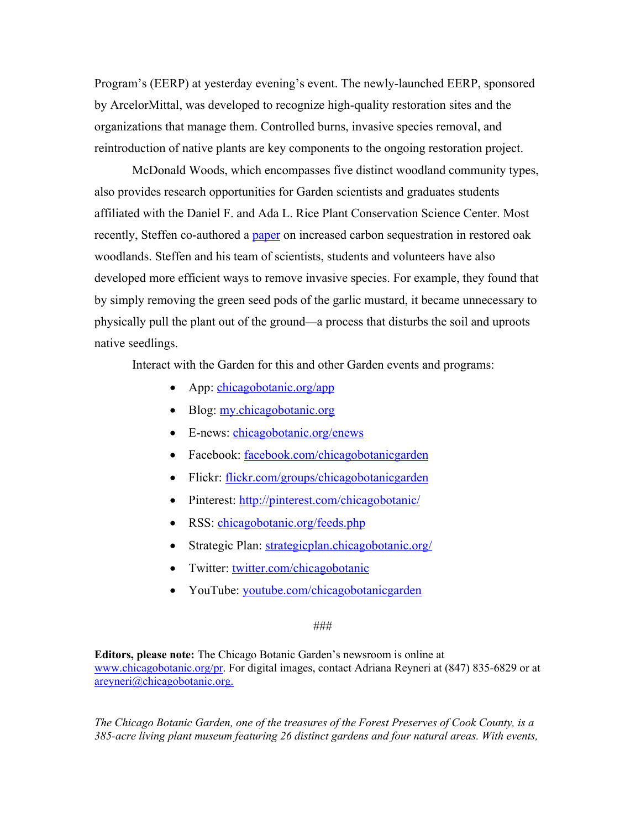Program's (EERP) at yesterday evening's event. The newly-launched EERP, sponsored by ArcelorMittal, was developed to recognize high-quality restoration sites and the organizations that manage them. Controlled burns, invasive species removal, and reintroduction of native plants are key components to the ongoing restoration project.

McDonald Woods, which encompasses five distinct woodland community types, also provides research opportunities for Garden scientists and graduates students affiliated with the Daniel F. and Ada L. Rice Plant Conservation Science Center. Most recently, Steffen co-authored a paper on increased carbon sequestration in restored oak woodlands. Steffen and his team of scientists, students and volunteers have also developed more efficient ways to remove invasive species. For example, they found that by simply removing the green seed pods of the garlic mustard, it became unnecessary to physically pull the plant out of the ground—a process that disturbs the soil and uproots native seedlings.

Interact with the Garden for this and other Garden events and programs:

- App: chicagobotanic.org/app
- Blog: my.chicagobotanic.org
- E-news: chicagobotanic.org/enews
- Facebook: facebook.com/chicagobotanicgarden
- Flickr: flickr.com/groups/chicagobotanicgarden
- Pinterest: http://pinterest.com/chicagobotanic/
- RSS: chicagobotanic.org/feeds.php
- Strategic Plan: strategicplan.chicagobotanic.org/
- Twitter: twitter.com/chicagobotanic
- YouTube: youtube.com/chicagobotanicgarden

## *###*

**Editors, please note:** The Chicago Botanic Garden's newsroom is online at www.chicagobotanic.org/pr. For digital images, contact Adriana Reyneri at (847) 835-6829 or at areyneri@chicagobotanic.org.

*The Chicago Botanic Garden, one of the treasures of the Forest Preserves of Cook County, is a 385-acre living plant museum featuring 26 distinct gardens and four natural areas. With events,*